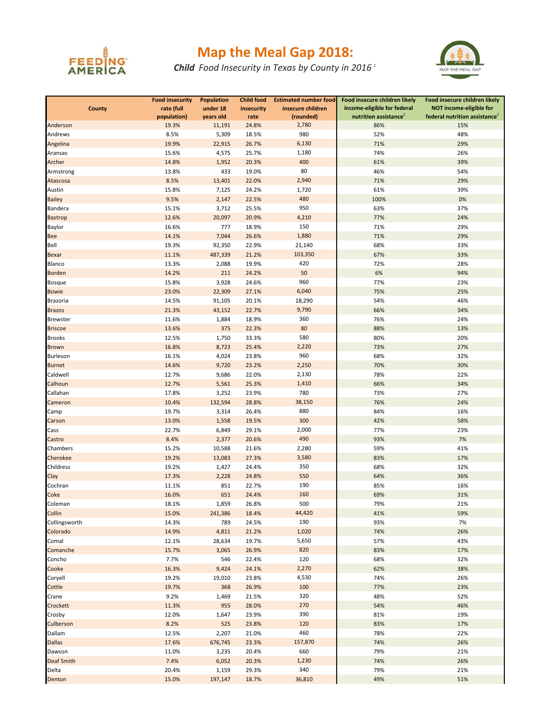

## **Map the Meal Gap 2018:**

*Child Food Insecurity in Texas by County in 2016 <sup>1</sup>*



|                   | <b>Food insecurity</b> | <b>Population</b> | <b>Child food</b> | <b>Estimated number food</b> | Food insecure children likely     | Food insecure children likely             |
|-------------------|------------------------|-------------------|-------------------|------------------------------|-----------------------------------|-------------------------------------------|
| <b>County</b>     | rate (full             | under 18          | insecurity        | insecure children            | income-eligible for federal       | NOT income-eligible for                   |
|                   | population)            | years old         | rate              | (rounded)                    | nutrition assistance <sup>2</sup> | federal nutrition assistance <sup>2</sup> |
| Anderson          | 19.3%                  | 11,191            | 24.8%             | 2,780                        | 86%                               | 15%                                       |
| Andrews           | 8.5%                   | 5,309             | 18.5%             | 980                          | 52%                               | 48%                                       |
| Angelina          | 19.9%                  | 22,915            | 26.7%             | 6,130                        | 71%                               | 29%                                       |
| Aransas           | 15.6%                  | 4,575             | 25.7%             | 1,180                        | 74%                               | 26%                                       |
| Archer            | 14.8%                  | 1,952             | 20.3%             | 400                          | 61%                               | 39%                                       |
| Armstrong         | 13.8%                  | 433               | 19.0%             | 80                           | 46%                               | 54%                                       |
| Atascosa          | 8.5%                   | 13,401            | 22.0%             | 2,940                        | 71%                               | 29%                                       |
| Austin            | 15.8%                  | 7,125             | 24.2%             | 1,720                        | 61%                               | 39%                                       |
| <b>Bailey</b>     | 9.5%                   | 2,147             | 22.5%             | 480                          | 100%                              | 0%                                        |
| <b>Bandera</b>    | 15.1%                  | 3,712             | 25.5%             | 950                          | 63%                               | 37%                                       |
| <b>Bastrop</b>    | 12.6%                  | 20,097            | 20.9%             | 4,210                        | 77%                               | 24%                                       |
| Baylor            | 16.6%                  | 777               | 18.9%             | 150                          | 71%                               | 29%                                       |
|                   | 14.1%                  | 7,044             | 26.6%             | 1,880                        | 71%                               | 29%                                       |
| Bee<br>Bell       |                        |                   |                   | 21,140                       | 68%                               |                                           |
|                   | 19.3%                  | 92,350            | 22.9%             |                              |                                   | 33%                                       |
| <b>Bexar</b>      | 11.1%                  | 487,339           | 21.2%             | 103,350                      | 67%                               | 33%                                       |
| Blanco            | 13.3%                  | 2,088             | 19.9%             | 420                          | 72%                               | 28%                                       |
| <b>Borden</b>     | 14.2%                  | 211               | 24.2%             | 50                           | 6%                                | 94%                                       |
| <b>Bosque</b>     | 15.8%                  | 3,928             | 24.6%             | 960                          | 77%                               | 23%                                       |
| <b>Bowie</b>      | 23.0%                  | 22,309            | 27.1%             | 6,040                        | 75%                               | 25%                                       |
| Brazoria          | 14.5%                  | 91,105            | 20.1%             | 18,290                       | 54%                               | 46%                                       |
| <b>Brazos</b>     | 21.3%                  | 43,152            | 22.7%             | 9,790                        | 66%                               | 34%                                       |
| <b>Brewster</b>   | 11.6%                  | 1,884             | 18.9%             | 360                          | 76%                               | 24%                                       |
| <b>Briscoe</b>    | 13.6%                  | 375               | 22.3%             | 80                           | 88%                               | 13%                                       |
| <b>Brooks</b>     | 12.5%                  | 1,750             | 33.3%             | 580                          | 80%                               | 20%                                       |
| <b>Brown</b>      | 16.8%                  | 8,723             | 25.4%             | 2,220                        | 73%                               | 27%                                       |
| Burleson          | 16.1%                  | 4,024             | 23.8%             | 960                          | 68%                               | 32%                                       |
| <b>Burnet</b>     | 14.6%                  | 9,720             | 23.2%             | 2,250                        | 70%                               | 30%                                       |
| Caldwell          | 12.7%                  | 9,686             | 22.0%             | 2,130                        | 78%                               | 22%                                       |
| Calhoun           | 12.7%                  | 5,561             | 25.3%             | 1,410                        | 66%                               | 34%                                       |
| Callahan          | 17.8%                  | 3,252             | 23.9%             | 780                          | 73%                               | 27%                                       |
| Cameron           | 10.4%                  | 132,594           | 28.8%             | 38,150                       | 76%                               | 24%                                       |
| Camp              | 19.7%                  | 3,314             | 26.4%             | 880                          | 84%                               | 16%                                       |
| Carson            | 13.0%                  | 1,558             | 19.5%             | 300                          | 42%                               | 58%                                       |
| Cass              | 22.7%                  | 6,849             | 29.1%             | 2,000                        | 77%                               | 23%                                       |
| Castro            | 8.4%                   | 2,377             | 20.6%             | 490                          | 93%                               | 7%                                        |
| Chambers          | 15.2%                  | 10,588            | 21.6%             | 2,280                        | 59%                               | 41%                                       |
| Cherokee          | 19.2%                  | 13,083            | 27.3%             | 3,580                        | 83%                               | 17%                                       |
| Childress         | 19.2%                  | 1,427             | 24.4%             | 350                          | 68%                               | 32%                                       |
|                   |                        |                   |                   | 550                          |                                   |                                           |
| Clay              | 17.3%                  | 2,228             | 24.8%             | 190                          | 64%                               | 36%                                       |
| Cochran           | 11.1%                  | 851               | 22.7%             |                              | 85%                               | 16%                                       |
| Coke              | 16.0%                  | 651               | 24.4%             | 160                          | 69%                               | 31%                                       |
| Coleman           | 18.1%                  | 1,859             | 26.8%             | 500                          | 79%                               | 21%                                       |
| Collin            | 15.0%                  | 241,386           | 18.4%             | 44,420                       | 41%                               | 59%                                       |
| Collingsworth     | 14.3%                  | 789               | 24.5%             | 190                          | 93%                               | 7%                                        |
| Colorado          | 14.9%                  | 4,811             | 21.2%             | 1,020                        | 74%                               | 26%                                       |
| Comal             | 12.1%                  | 28,634            | 19.7%             | 5,650                        | 57%                               | 43%                                       |
| Comanche          | 15.7%                  | 3,065             | 26.9%             | 820                          | 83%                               | 17%                                       |
| Concho            | 7.7%                   | 546               | 22.4%             | 120                          | 68%                               | 32%                                       |
| Cooke             | 16.3%                  | 9,424             | 24.1%             | 2,270                        | 62%                               | 38%                                       |
| Coryell           | 19.2%                  | 19,010            | 23.8%             | 4,530                        | 74%                               | 26%                                       |
| Cottle            | 19.7%                  | 368               | 26.9%             | 100                          | 77%                               | 23%                                       |
| Crane             | 9.2%                   | 1,469             | 21.5%             | 320                          | 48%                               | 52%                                       |
| Crockett          | 11.3%                  | 955               | 28.0%             | 270                          | 54%                               | 46%                                       |
| Crosby            | 12.0%                  | 1,647             | 23.9%             | 390                          | 81%                               | 19%                                       |
| Culberson         | 8.2%                   | 525               | 23.8%             | 120                          | 83%                               | 17%                                       |
| Dallam            | 12.5%                  | 2,207             | 21.0%             | 460                          | 78%                               | 22%                                       |
| <b>Dallas</b>     | 17.6%                  | 676,745           | 23.3%             | 157,870                      | 74%                               | 26%                                       |
| Dawson            | 11.0%                  | 3,235             | 20.4%             | 660                          | 79%                               | 21%                                       |
| <b>Deaf Smith</b> | 7.4%                   | 6,052             | 20.3%             | 1,230                        | 74%                               | 26%                                       |
| Delta             | 20.4%                  | 1,159             | 29.3%             | 340                          | 79%                               | 21%                                       |
| Denton            | 15.0%                  | 197,147           | 18.7%             | 36,810                       | 49%                               | 51%                                       |
|                   |                        |                   |                   |                              |                                   |                                           |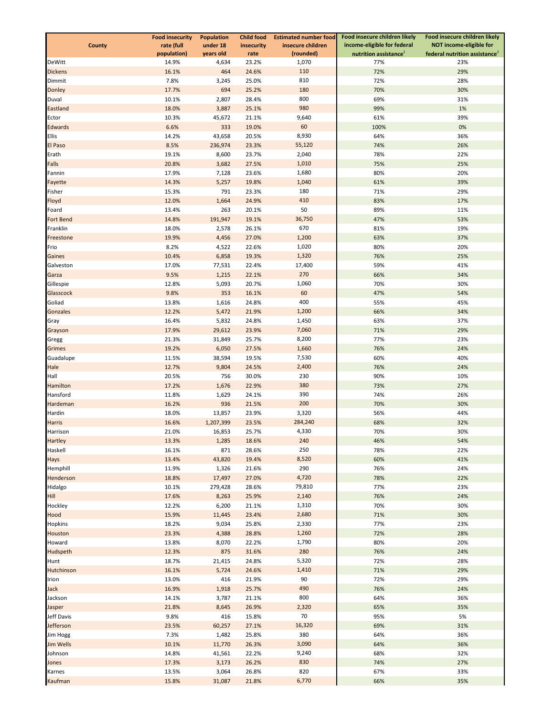|                  | <b>Food insecurity</b> | <b>Population</b> | <b>Child food</b> | <b>Estimated number food</b> | Food insecure children likely     | Food insecure children likely             |
|------------------|------------------------|-------------------|-------------------|------------------------------|-----------------------------------|-------------------------------------------|
| <b>County</b>    | rate (full             | under 18          | insecurity        | insecure children            | income-eligible for federal       | NOT income-eligible for                   |
|                  | population)            | years old         | rate              | (rounded)                    | nutrition assistance <sup>2</sup> | federal nutrition assistance <sup>2</sup> |
| <b>DeWitt</b>    | 14.9%                  | 4,634             | 23.2%             | 1,070                        | 77%                               | 23%                                       |
| <b>Dickens</b>   | 16.1%                  | 464               | 24.6%             | 110                          | 72%                               | 29%                                       |
| Dimmit           | 7.8%                   | 3,245             | 25.0%             | 810                          | 72%                               | 28%                                       |
| <b>Donley</b>    | 17.7%                  | 694               | 25.2%             | 180                          | 70%                               | 30%                                       |
| Duval            | 10.1%                  | 2,807             | 28.4%             | 800                          | 69%                               | 31%                                       |
| Eastland         | 18.0%                  | 3,887             | 25.1%             | 980                          | 99%                               | $1\%$                                     |
| Ector            | 10.3%                  | 45,672            | 21.1%             | 9,640                        | 61%                               | 39%                                       |
| Edwards          | 6.6%                   | 333               | 19.0%             | 60                           | 100%                              | 0%                                        |
| <b>Ellis</b>     | 14.2%                  | 43,658            | 20.5%             | 8,930                        | 64%                               | 36%                                       |
| El Paso          | 8.5%                   | 236,974           | 23.3%             | 55,120                       | 74%                               | 26%                                       |
| Erath            | 19.1%                  | 8,600             | 23.7%             | 2,040                        | 78%                               | 22%                                       |
| Falls            | 20.8%                  | 3,682             | 27.5%             | 1,010                        | 75%                               | 25%                                       |
| Fannin           | 17.9%                  | 7,128             | 23.6%             | 1,680                        | 80%                               | 20%                                       |
| Fayette          | 14.3%                  | 5,257             | 19.8%             | 1,040                        | 61%                               | 39%                                       |
| Fisher           | 15.3%                  | 791               | 23.3%             | 180                          | 71%                               | 29%                                       |
| Floyd            | 12.0%                  | 1,664             | 24.9%             | 410                          | 83%                               | 17%                                       |
| Foard            | 13.4%                  | 263               | 20.1%             | 50                           | 89%                               | 11%                                       |
| Fort Bend        | 14.8%                  | 191,947           | 19.1%             | 36,750                       | 47%                               | 53%                                       |
| Franklin         | 18.0%                  | 2,578             | 26.1%             | 670                          | 81%                               | 19%                                       |
| Freestone        | 19.9%                  | 4,456             | 27.0%             | 1,200                        | 63%                               | 37%                                       |
| Frio             | 8.2%                   | 4,522             | 22.6%             | 1,020                        | 80%                               | 20%                                       |
| Gaines           | 10.4%                  | 6,858             | 19.3%             | 1,320                        | 76%                               | 25%                                       |
| Galveston        | 17.0%                  | 77,531            | 22.4%             | 17,400                       | 59%                               | 41%                                       |
| Garza            | 9.5%                   | 1,215             | 22.1%             | 270                          | 66%                               | 34%                                       |
| Gillespie        | 12.8%                  | 5,093             | 20.7%             | 1,060                        | 70%                               | 30%                                       |
| Glasscock        | 9.8%                   | 353               | 16.1%             | 60                           | 47%                               | 54%                                       |
| Goliad           | 13.8%                  | 1,616             | 24.8%             | 400                          | 55%                               | 45%                                       |
| Gonzales         | 12.2%                  | 5,472             | 21.9%             | 1,200                        | 66%                               | 34%                                       |
| Gray             | 16.4%                  | 5,832             | 24.8%             | 1,450                        | 63%                               | 37%                                       |
| Grayson          | 17.9%                  | 29,612            | 23.9%             | 7,060                        | 71%                               | 29%                                       |
| Gregg            | 21.3%                  | 31,849            | 25.7%             | 8,200                        | 77%                               | 23%                                       |
| Grimes           | 19.2%                  | 6,050             | 27.5%             | 1,660                        | 76%                               | 24%                                       |
| Guadalupe        | 11.5%                  | 38,594            | 19.5%             | 7,530                        | 60%                               | 40%                                       |
| Hale             | 12.7%                  | 9,804             | 24.5%             | 2,400                        | 76%                               | 24%                                       |
| Hall             | 20.5%                  | 756               | 30.0%             | 230                          | 90%                               | 10%                                       |
| Hamilton         | 17.2%                  | 1,676             | 22.9%             | 380                          | 73%                               | 27%                                       |
| Hansford         | 11.8%                  | 1,629             | 24.1%             | 390                          | 74%                               | 26%                                       |
| Hardeman         | 16.2%                  | 936               | 21.5%             | 200                          | 70%                               | 30%                                       |
| Hardin           | 18.0%                  | 13,857            | 23.9%             | 3,320                        | 56%                               | 44%                                       |
| <b>Harris</b>    | 16.6%                  | 1,207,399         | 23.5%             | 284,240                      | 68%                               | 32%                                       |
| Harrison         | 21.0%                  | 16,853            | 25.7%             | 4,330                        | 70%                               | 30%                                       |
| <b>Hartley</b>   | 13.3%                  | 1,285             | 18.6%             | 240                          | 46%                               | 54%                                       |
| Haskell          | 16.1%                  | 871               | 28.6%             | 250                          | 78%                               | 22%                                       |
| Hays             | 13.4%                  | 43,820            | 19.4%             | 8,520                        | 60%                               | 41%                                       |
| Hemphill         | 11.9%                  | 1,326             | 21.6%             | 290                          | 76%                               | 24%                                       |
| Henderson        | 18.8%                  | 17,497            | 27.0%             | 4,720                        | 78%                               | 22%                                       |
| Hidalgo          | 10.1%                  | 279,428           | 28.6%             | 79,810                       | 77%                               | 23%                                       |
| Hill             | 17.6%                  | 8,263             | 25.9%             | 2,140                        | 76%                               | 24%                                       |
| Hockley          | 12.2%                  | 6,200             | 21.1%             | 1,310                        | 70%                               | 30%                                       |
| Hood             | 15.9%                  | 11,445            | 23.4%             | 2,680                        | 71%                               | 30%                                       |
| Hopkins          | 18.2%                  | 9,034             | 25.8%             | 2,330                        | 77%                               | 23%                                       |
| Houston          | 23.3%                  | 4,388             | 28.8%             | 1,260                        | 72%                               | 28%                                       |
| Howard           | 13.8%                  | 8,070             | 22.2%             | 1,790                        | 80%                               | 20%                                       |
| Hudspeth         | 12.3%                  | 875               | 31.6%             | 280                          | 76%                               | 24%                                       |
| Hunt             | 18.7%                  | 21,415            | 24.8%             | 5,320                        | 72%                               | 28%                                       |
| Hutchinson       | 16.1%                  | 5,724             | 24.6%             | 1,410                        | 71%                               | 29%                                       |
| Irion            | 13.0%                  | 416               | 21.9%             | 90                           | 72%                               | 29%                                       |
| <b>Jack</b>      | 16.9%                  | 1,918             | 25.7%             | 490                          | 76%                               | 24%                                       |
| Jackson          | 14.1%                  | 3,787             | 21.1%             | 800                          | 64%                               | 36%                                       |
| Jasper           | 21.8%                  | 8,645             | 26.9%             | 2,320                        | 65%                               | 35%                                       |
| Jeff Davis       | 9.8%                   | 416               | 15.8%             | 70                           | 95%                               | 5%                                        |
| Jefferson        | 23.5%                  | 60,257            | 27.1%             | 16,320                       | 69%                               | 31%                                       |
| Jim Hogg         | 7.3%                   | 1,482             | 25.8%             | 380                          | 64%                               | 36%                                       |
| <b>Jim Wells</b> | 10.1%                  | 11,770            | 26.3%             | 3,090                        | 64%                               | 36%                                       |
| Johnson          | 14.8%                  | 41,561            | 22.2%             | 9,240                        | 68%                               | 32%                                       |
| Jones            | 17.3%                  | 3,173             | 26.2%             | 830                          | 74%                               | 27%                                       |
| Karnes           | 13.5%                  | 3,064             | 26.8%             | 820                          | 67%                               | 33%                                       |
| Kaufman          | 15.8%                  | 31,087            | 21.8%             | 6,770                        | 66%                               | 35%                                       |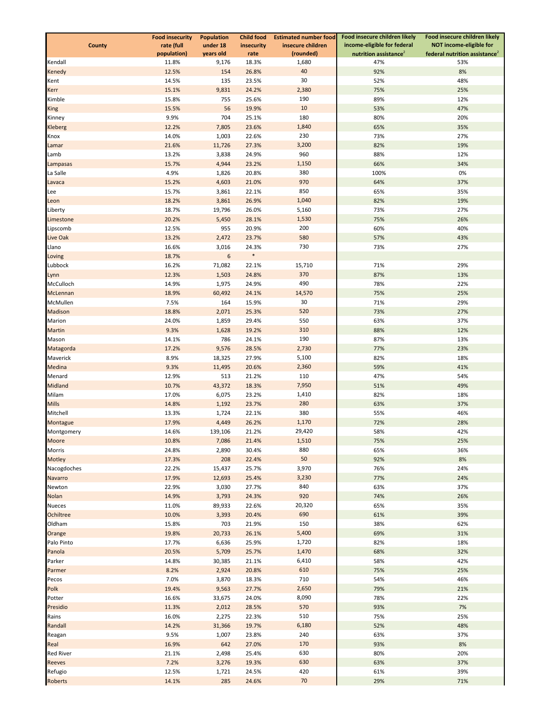|                  | <b>Food insecurity</b> | <b>Population</b> | <b>Child food</b> | <b>Estimated number food</b> | Food insecure children likely     | Food insecure children likely             |
|------------------|------------------------|-------------------|-------------------|------------------------------|-----------------------------------|-------------------------------------------|
| County           | rate (full             | under 18          | insecurity        | insecure children            | income-eligible for federal       | NOT income-eligible for                   |
|                  | population)            | years old         | rate              | (rounded)                    | nutrition assistance <sup>2</sup> | federal nutrition assistance <sup>2</sup> |
| Kendall          | 11.8%                  | 9,176             | 18.3%             | 1,680                        | 47%                               | 53%                                       |
| Kenedy           | 12.5%                  | 154               | 26.8%             | 40                           | 92%                               | 8%                                        |
| Kent             | 14.5%                  | 135               | 23.5%             | 30                           | 52%                               | 48%                                       |
| Kerr             | 15.1%                  | 9,831             | 24.2%             | 2,380                        | 75%                               | 25%                                       |
| Kimble           | 15.8%                  | 755               | 25.6%             | 190                          | 89%                               | 12%                                       |
| <b>King</b>      | 15.5%                  | 56                | 19.9%             | 10                           | 53%                               | 47%                                       |
| Kinney           | 9.9%                   | 704               | 25.1%             | 180                          | 80%                               | 20%                                       |
| Kleberg          | 12.2%                  | 7,805             | 23.6%             | 1,840                        | 65%                               | 35%                                       |
| Knox             | 14.0%                  | 1,003             | 22.6%             | 230                          | 73%                               | 27%                                       |
| Lamar            | 21.6%                  | 11,726            | 27.3%             | 3,200                        | 82%                               | 19%                                       |
| Lamb             | 13.2%                  | 3,838             | 24.9%             | 960                          | 88%                               | 12%                                       |
| Lampasas         | 15.7%                  | 4,944             | 23.2%             | 1,150                        | 66%                               | 34%                                       |
| La Salle         | 4.9%                   | 1,826             | 20.8%             | 380                          | 100%                              | 0%                                        |
| Lavaca           | 15.2%                  | 4,603             | 21.0%             | 970                          | 64%                               | 37%                                       |
| Lee              | 15.7%                  | 3,861             | 22.1%             | 850                          | 65%                               | 35%                                       |
| Leon             | 18.2%                  | 3,861             | 26.9%             | 1,040                        | 82%                               | 19%                                       |
| Liberty          | 18.7%                  | 19,796            | 26.0%             | 5,160                        | 73%                               | 27%                                       |
| Limestone        | 20.2%                  | 5,450             | 28.1%             | 1,530                        | 75%                               | 26%                                       |
| Lipscomb         | 12.5%                  | 955               | 20.9%             | 200                          | 60%                               | 40%                                       |
| Live Oak         | 13.2%                  | 2,472             | 23.7%             | 580                          | 57%                               | 43%                                       |
| Llano            | 16.6%                  | 3,016             | 24.3%             | 730                          | 73%                               | 27%                                       |
| Loving           | 18.7%                  | 6                 | $\ast$            |                              |                                   |                                           |
| Lubbock          | 16.2%                  | 71,082            | 22.1%             | 15,710                       | 71%                               | 29%                                       |
| Lynn             | 12.3%                  | 1,503             | 24.8%             | 370                          | 87%                               | 13%                                       |
| McCulloch        | 14.9%                  | 1,975             | 24.9%             | 490                          | 78%                               | 22%                                       |
| McLennan         | 18.9%                  | 60,492            | 24.1%             | 14,570                       | 75%                               | 25%                                       |
| McMullen         | 7.5%                   | 164               | 15.9%             | 30                           | 71%                               | 29%                                       |
| Madison          | 18.8%                  | 2,071             | 25.3%             | 520                          | 73%                               | 27%                                       |
| Marion           | 24.0%                  | 1,859             | 29.4%             | 550                          | 63%                               | 37%                                       |
| Martin           | 9.3%                   | 1,628             | 19.2%             | 310                          | 88%                               | 12%                                       |
| Mason            | 14.1%                  | 786               | 24.1%             | 190                          | 87%                               | 13%                                       |
| Matagorda        | 17.2%                  | 9,576             | 28.5%             | 2,730                        | 77%                               | 23%                                       |
| Maverick         | 8.9%                   | 18,325            | 27.9%             | 5,100                        | 82%                               | 18%                                       |
| Medina           | 9.3%                   | 11,495            | 20.6%             | 2,360                        | 59%                               | 41%                                       |
| Menard           | 12.9%                  | 513               | 21.2%             | 110                          | 47%                               | 54%                                       |
| Midland          | 10.7%                  | 43,372            | 18.3%             | 7,950                        | 51%                               | 49%                                       |
| Milam            | 17.0%                  | 6,075             | 23.2%             | 1,410                        | 82%                               | 18%                                       |
| <b>Mills</b>     | 14.8%                  | 1,192             | 23.7%             | 280                          | 63%                               | 37%                                       |
| Mitchell         | 13.3%                  | 1,724             | 22.1%             | 380                          | 55%                               | 46%                                       |
| Montague         | 17.9%                  | 4,449             | 26.2%             | 1,170                        | 72%                               | 28%                                       |
| Montgomery       | 14.6%                  | 139,106           | 21.2%             | 29,420                       | 58%                               | 42%                                       |
| Moore            | 10.8%                  | 7,086             | 21.4%             | 1,510                        | 75%                               | 25%                                       |
| Morris           | 24.8%                  | 2,890             | 30.4%             | 880                          | 65%                               | 36%                                       |
| Motley           | 17.3%                  | 208               | 22.4%             | 50                           | 92%                               | 8%                                        |
| Nacogdoches      | 22.2%                  | 15,437            | 25.7%             | 3,970                        | 76%                               | 24%                                       |
| Navarro          | 17.9%                  | 12,693            | 25.4%             | 3,230                        | 77%                               | 24%                                       |
| Newton           | 22.9%                  | 3,030             | 27.7%             | 840                          | 63%                               | 37%                                       |
| <b>Nolan</b>     | 14.9%                  | 3,793             | 24.3%             | 920                          | 74%                               | 26%                                       |
| <b>Nueces</b>    | 11.0%                  | 89,933            | 22.6%             | 20,320                       | 65%                               | 35%                                       |
| Ochiltree        | 10.0%                  | 3,393             | 20.4%             | 690                          | 61%                               | 39%                                       |
| Oldham           | 15.8%                  | 703               | 21.9%             | 150                          | 38%                               | 62%                                       |
| Orange           | 19.8%                  | 20,733            | 26.1%             | 5,400                        | 69%                               | 31%                                       |
| Palo Pinto       | 17.7%                  | 6,636             | 25.9%             | 1,720                        | 82%                               | 18%                                       |
| Panola           | 20.5%                  | 5,709             | 25.7%             | 1,470                        | 68%                               | 32%                                       |
| Parker           | 14.8%                  | 30,385            | 21.1%             | 6,410                        | 58%                               | 42%                                       |
| Parmer           | 8.2%                   | 2,924             | 20.8%             | 610                          | 75%                               | 25%                                       |
| Pecos            | 7.0%                   | 3,870             | 18.3%             | 710                          | 54%                               | 46%                                       |
| Polk             | 19.4%                  | 9,563             | 27.7%             | 2,650                        | 79%                               | 21%                                       |
| Potter           | 16.6%                  | 33,675            | 24.0%             | 8,090                        | 78%                               | 22%                                       |
| Presidio         | 11.3%                  | 2,012             | 28.5%             | 570                          | 93%                               | 7%                                        |
| Rains            | 16.0%                  | 2,275             | 22.3%             | 510                          | 75%                               | 25%                                       |
| Randall          | 14.2%                  | 31,366            | 19.7%             | 6,180                        | 52%                               | 48%                                       |
| Reagan           | 9.5%                   | 1,007             | 23.8%             | 240                          | 63%                               | 37%                                       |
| Real             | 16.9%                  | 642               | 27.0%             | 170                          | 93%                               | 8%                                        |
| <b>Red River</b> | 21.1%                  | 2,498             | 25.4%             | 630                          | 80%                               | 20%                                       |
| Reeves           | 7.2%                   | 3,276             | 19.3%             | 630                          | 63%                               | 37%                                       |
| Refugio          | 12.5%                  | 1,721             | 24.5%             | 420                          | 61%                               | 39%                                       |
| Roberts          | 14.1%                  | 285               | 24.6%             | 70                           | 29%                               | 71%                                       |
|                  |                        |                   |                   |                              |                                   |                                           |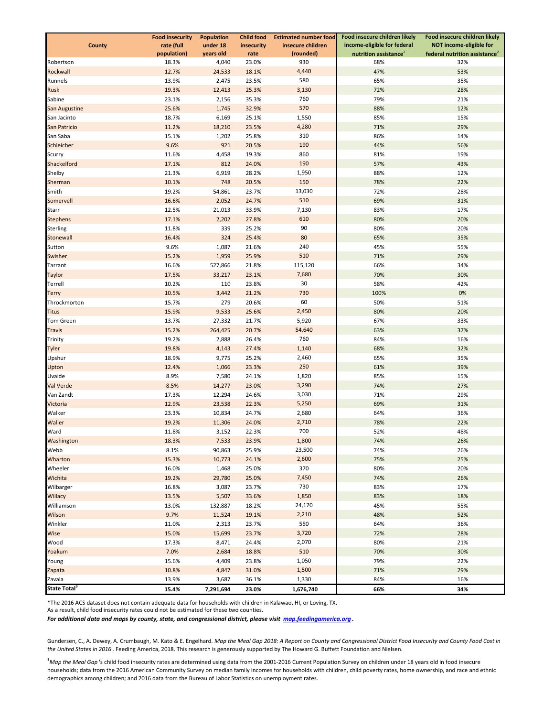|                          | <b>Food insecurity</b> | <b>Population</b> | <b>Child food</b> | <b>Estimated number food</b> | Food insecure children likely     | Food insecure children likely             |
|--------------------------|------------------------|-------------------|-------------------|------------------------------|-----------------------------------|-------------------------------------------|
| <b>County</b>            | rate (full             | under 18          | insecurity        | insecure children            | income-eligible for federal       | NOT income-eligible for                   |
|                          | population)            | years old         | rate              | (rounded)                    | nutrition assistance <sup>2</sup> | federal nutrition assistance <sup>2</sup> |
| Robertson                | 18.3%                  | 4,040             | 23.0%             | 930                          | 68%                               | 32%                                       |
| Rockwall                 | 12.7%                  | 24,533            | 18.1%             | 4,440                        | 47%                               | 53%                                       |
| Runnels                  | 13.9%                  | 2,475             | 23.5%             | 580                          | 65%                               | 35%                                       |
| Rusk                     | 19.3%                  | 12,413            | 25.3%             | 3,130                        | 72%                               | 28%                                       |
| Sabine                   | 23.1%                  | 2,156             | 35.3%             | 760                          | 79%                               | 21%                                       |
| <b>San Augustine</b>     | 25.6%                  | 1,745             | 32.9%             | 570                          | 88%                               | 12%                                       |
| San Jacinto              | 18.7%                  | 6,169             | 25.1%             | 1,550                        | 85%                               | 15%                                       |
| San Patricio             | 11.2%                  | 18,210            | 23.5%             | 4,280                        | 71%                               | 29%                                       |
| San Saba                 | 15.1%                  | 1,202             | 25.8%             | 310                          | 86%                               | 14%                                       |
| Schleicher               | 9.6%                   | 921               | 20.5%             | 190                          | 44%                               | 56%                                       |
| Scurry                   | 11.6%                  | 4,458             | 19.3%             | 860                          | 81%                               | 19%                                       |
| Shackelford              | 17.1%                  | 812               | 24.0%             | 190                          | 57%                               | 43%                                       |
| Shelby                   | 21.3%                  | 6,919             | 28.2%             | 1,950                        | 88%                               | 12%                                       |
| Sherman                  | 10.1%                  | 748               | 20.5%             | 150                          | 78%                               | 22%                                       |
| Smith                    | 19.2%                  | 54,861            | 23.7%             | 13,030                       | 72%                               | 28%                                       |
| Somervell                | 16.6%                  | 2,052             | 24.7%             | 510                          | 69%                               | 31%                                       |
| Starr                    | 12.5%                  | 21,013            | 33.9%             | 7,130                        | 83%                               | 17%                                       |
| <b>Stephens</b>          | 17.1%                  | 2,202             | 27.8%             | 610                          | 80%                               | 20%                                       |
| Sterling                 | 11.8%                  | 339               | 25.2%             | 90                           | 80%                               | 20%                                       |
| Stonewall                | 16.4%                  | 324               | 25.4%             | 80                           | 65%                               | 35%                                       |
| Sutton                   | 9.6%                   | 1,087             | 21.6%             | 240                          | 45%                               | 55%                                       |
| Swisher                  | 15.2%                  | 1,959             | 25.9%             | 510                          | 71%                               | 29%                                       |
| Tarrant                  | 16.6%                  | 527,866           | 21.8%             | 115,120                      | 66%                               | 34%                                       |
| <b>Taylor</b>            | 17.5%                  | 33,217            | 23.1%             | 7,680                        | 70%                               | 30%                                       |
| Terrell                  | 10.2%                  | 110               | 23.8%             | 30                           | 58%                               | 42%                                       |
| <b>Terry</b>             | 10.5%                  | 3,442             | 21.2%             | 730                          | 100%                              | 0%                                        |
| Throckmorton             | 15.7%                  | 279               | 20.6%             | 60                           | 50%                               | 51%                                       |
| <b>Titus</b>             | 15.9%                  | 9,533             | 25.6%             | 2,450                        | 80%                               | 20%                                       |
| <b>Tom Green</b>         | 13.7%                  | 27,332            | 21.7%             | 5,920                        | 67%                               | 33%                                       |
| Travis                   | 15.2%                  | 264,425           | 20.7%             | 54,640                       | 63%                               | 37%                                       |
| Trinity                  | 19.2%                  | 2,888             | 26.4%             | 760                          | 84%                               | 16%                                       |
| <b>Tyler</b>             | 19.8%                  | 4,143             | 27.4%             | 1,140                        | 68%                               | 32%                                       |
| Upshur                   | 18.9%                  | 9,775             | 25.2%             | 2,460                        | 65%                               | 35%                                       |
| Upton                    | 12.4%                  | 1,066             | 23.3%             | 250                          | 61%                               | 39%                                       |
| Uvalde                   | 8.9%                   | 7,580             | 24.1%             | 1,820                        | 85%                               | 15%                                       |
| Val Verde                | 8.5%                   | 14,277            | 23.0%             | 3,290                        | 74%                               | 27%                                       |
| Van Zandt                | 17.3%                  | 12,294            | 24.6%             | 3,030                        | 71%                               | 29%                                       |
| Victoria                 | 12.9%                  | 23,538            | 22.3%             | 5,250                        | 69%                               | 31%                                       |
| Walker                   | 23.3%                  | 10,834            | 24.7%             | 2,680                        | 64%                               | 36%                                       |
| Waller                   | 19.2%                  | 11,306            | 24.0%             | 2,710                        | 78%                               | 22%                                       |
| Ward                     | 11.8%                  | 3,152             | 22.3%             | 700                          | 52%                               | 48%                                       |
| Washington               | 18.3%                  | 7,533             | 23.9%             | 1,800                        | 74%                               | 26%                                       |
| Webb                     | 8.1%                   | 90,863            | 25.9%             | 23,500                       | 74%                               | 26%                                       |
| Wharton                  | 15.3%                  | 10,773            | 24.1%             | 2,600                        | 75%                               | 25%                                       |
| Wheeler                  | 16.0%                  | 1,468             | 25.0%             | 370                          | 80%                               | 20%                                       |
| Wichita                  | 19.2%                  | 29,780            | 25.0%             | 7,450                        | 74%                               | 26%                                       |
| Wilbarger                | 16.8%                  | 3,087             | 23.7%             | 730                          | 83%                               | 17%                                       |
| Willacy                  | 13.5%                  | 5,507             | 33.6%             | 1,850                        | 83%                               | 18%                                       |
| Williamson               | 13.0%                  | 132,887           | 18.2%             | 24,170                       | 45%                               | 55%                                       |
| Wilson                   | 9.7%                   | 11,524            | 19.1%             | 2,210                        | 48%                               | 52%                                       |
| Winkler                  | 11.0%                  | 2,313             | 23.7%             | 550                          | 64%                               | 36%                                       |
| Wise                     | 15.0%                  | 15,699            | 23.7%             | 3,720                        | 72%                               | 28%                                       |
| Wood                     | 17.3%                  | 8,471             | 24.4%             | 2,070                        | 80%                               | 21%                                       |
| Yoakum                   | 7.0%                   | 2,684             | 18.8%             | 510                          | 70%                               | 30%                                       |
| Young                    | 15.6%                  | 4,409             | 23.8%             | 1,050                        | 79%                               | 22%                                       |
| Zapata                   | 10.8%                  | 4,847             | 31.0%             | 1,500                        | 71%                               | 29%                                       |
| Zavala                   | 13.9%                  | 3,687             | 36.1%             | 1,330                        | 84%                               | 16%                                       |
| State Total <sup>3</sup> | 15.4%                  | 7,291,694         | 23.0%             | 1,676,740                    | 66%                               | 34%                                       |

\*The 2016 ACS dataset does not contain adequate data for households with children in Kalawao, HI, or Loving, TX.

As a result, child food insecurity rates could not be estimated for these two counties.

*For additional data and maps by county, state, and congressional district, please visit map.feedingamerica.org .*

Gundersen, C., A. Dewey, A. Crumbaugh, M. Kato & E. Engelhard. *Map the Meal Gap 2018: A Report on County and Congressional District Food Insecurity and County Food Cost in the United States in 2016* . Feeding America, 2018. This research is generously supported by The Howard G. Buffett Foundation and Nielsen.

<sup>1</sup>*Map the Meal Gap* 's child food insecurity rates are determined using data from the 2001-2016 Current Population Survey on children under 18 years old in food insecure households; data from the 2016 American Community Survey on median family incomes for households with children, child poverty rates, home ownership, and race and ethnic demographics among children; and 2016 data from the Bureau of Labor Statistics on unemployment rates.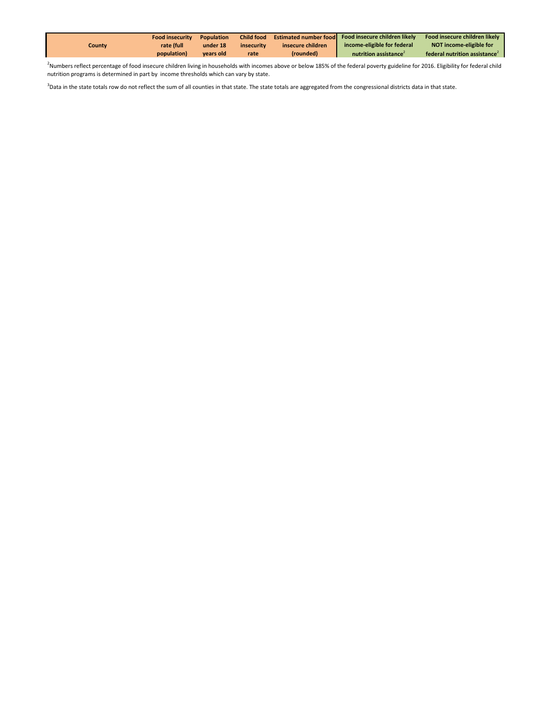|        | <b>Food insecurity</b> | Population | <b>Child food</b> |                   | Estimated number food Food insecure children likely | Food insecure children likely             |
|--------|------------------------|------------|-------------------|-------------------|-----------------------------------------------------|-------------------------------------------|
| County | rate (full             | under 18   | insecurity        | insecure children | income-eligible for federal                         | NOT income-eligible for                   |
|        | population)            | vears old  | rate              | (rounded)         | nutrition assistance <sup>2</sup>                   | federal nutrition assistance <sup>2</sup> |

<sup>2</sup>Numbers reflect percentage of food insecure children living in households with incomes above or below 185% of the federal poverty guideline for 2016. Eligibility for federal child nutrition programs is determined in part by income thresholds which can vary by state.

<sup>3</sup>Data in the state totals row do not reflect the sum of all counties in that state. The state totals are aggregated from the congressional districts data in that state.